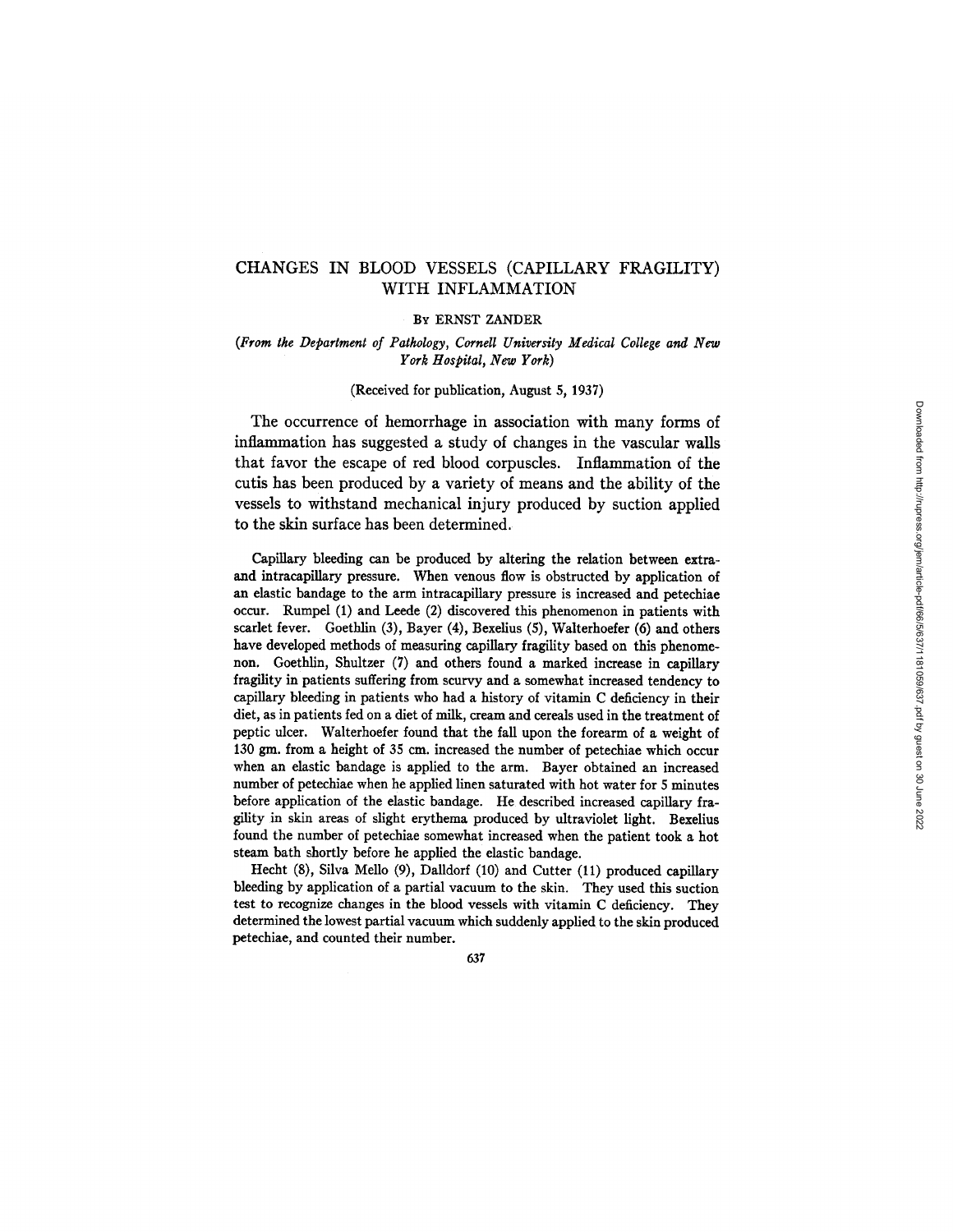# CHANGES IN BLOOD VESSELS (CAPILLARY FRAGILITY) WITH INFLAMMATION

#### BY ERNST ZANDER

#### *(From tke Department of Patkology, Cornell University Medical College and New*   $York$  Hospital, New York)

#### (Received for publication, August 5, 1937)

The occurrence of hemorrhage in association with many forms of inflammation has suggested a study of changes in the vascular walls that favor the escape of red blood corpuscles. Inflammation of the cutis has been produced by a variety of means and the ability of the vessels to withstand mechanical injury produced by suction applied to the skin surface has been determined.

Capillary bleeding can be produced by altering the relation between extraand intracapillary pressure. When venous flow is obstructed by application of an elastic bandage to the arm intracapillary pressure is increased and petechiae occur. Rumpel (1) and Leede (2) discovered this phenomenon in patients with scarlet fever. Goethlin (3), Bayer (4), Bexelius (5), Walterhoefer (6) and others have developed methods of measuring capillary fragility based on this phenomenon. Goethlin, Shultzer (7) and others found a marked increase in capillary fragility in patients suffering from scurvy and a somewhat increased tendency to capillary bleeding in patients who had a history of vitamin C deficiency in their diet, as in patients fed on a diet of milk, cream and cereals used in the treatment of peptic ulcer. Walterhoefer found that the fall upon the forearm of a weight of 130 gm. from a height of 35 cm. increased the number of petechiae which occur when an elastic bandage is applied to the arm. Bayer obtained an increased number of petechiae when he applied linen saturated with hot water for 5 minutes before application of the elastic bandage. He described increased capillary fragility in skin areas of slight erythema produced by ultraviolet light. Bexelius found the number of petechiae somewhat increased when the patient took a hot steam bath shortly before he applied the elastic bandage.

Hecht (8), Silva Mello (9), Dalldorf (10) and Cutter (11) produced capillary bleeding by application of a partial vacuum to the skin. They used this suction test to recognize changes in the blood vessels with vitamin C deficiency. They determined the lowest partial vacuum which suddenly applied to the skin produced petechiae, and counted their number.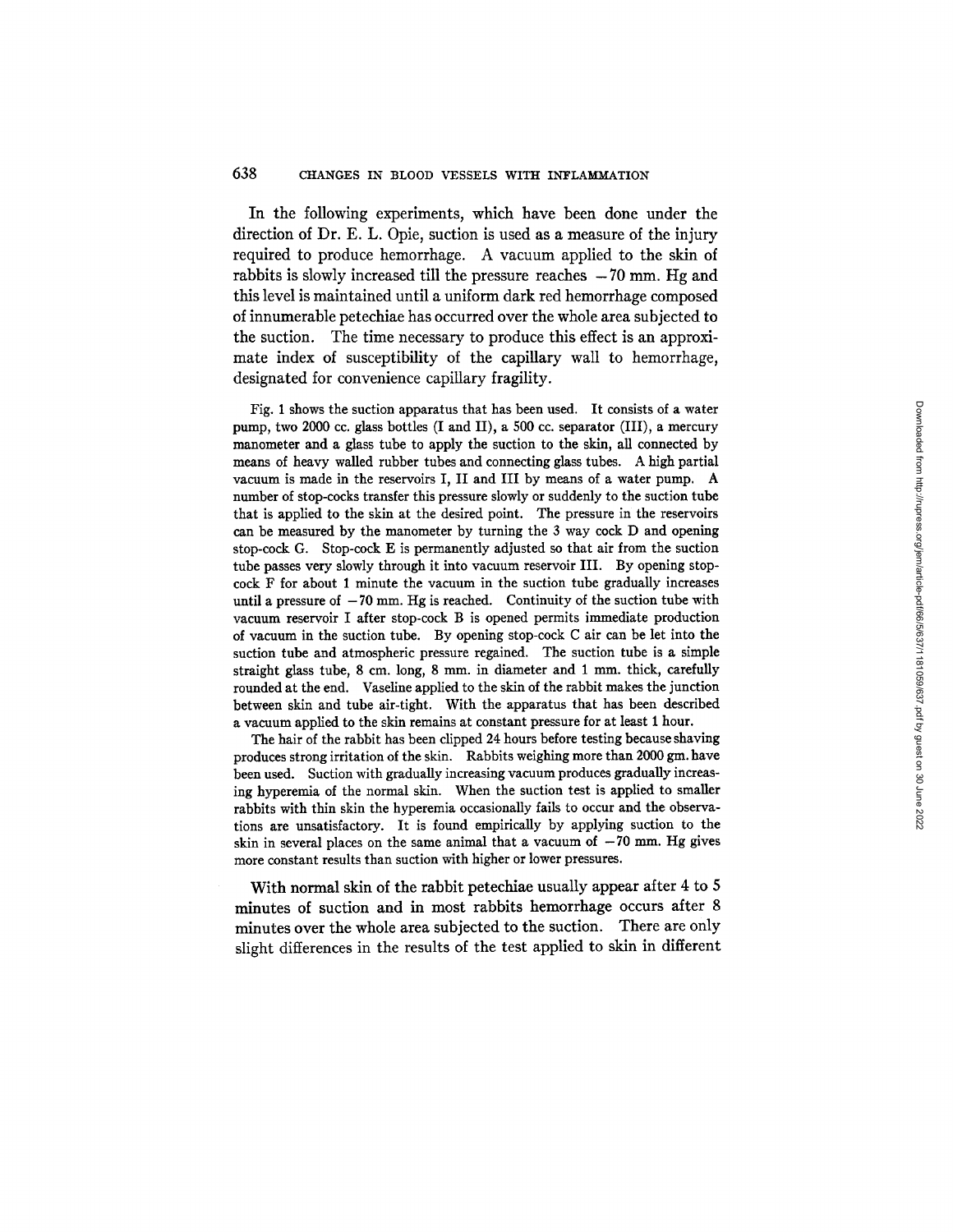#### 638 CHANGES IN BLOOD VESSELS WITH INFLAMMATION

In the following experiments, which have been done under the direction of Dr. E. L. Opie, suction is used as a measure of the injury required to produce hemorrhage. A vacuum applied to the skin of rabbits is slowly increased till the pressure reaches  $-70$  mm. Hg and this level is maintained until a uniform dark red hemorrhage composed of innumerable petechiae has occurred over the whole area subjected to the suction. The time necessary to produce this effect is an approximate index of susceptibility of the capillary wall to hemorrhage, designated for convenience capillary fragility.

Fig. 1 shows the suction apparatus that has been used. It consists of a water pump, two 2000 ce. glass bottles (I and II), a 500 cc. separator (III), a mercury manometer and a glass tube to apply the suction to the skin, all connected by means of heavy walled rubber tubes and connecting glass tubes. A high partial vacuum is made in the reservoirs I, II and III by means of a water pump. A number of stop-cocks transfer this pressure slowly or suddenly to the suction tube that is applied to the skin at the desired point. The pressure in the reservoirs can be measured by the manometer by turning the 3 way cock D and opening stop-cock G. Stop-cock E is permanently adjusted so that air from the suction tube passes very slowly through it into vacuum reservoir III. By opening stopcock F for about 1 minute the vacuum in the suction tube gradually increases until a pressure of  $-70$  mm. Hg is reached. Continuity of the suction tube with vacuum reservoir I after stop-cock B is opened permits immediate production of vacuum in the suction tube. By opening stop-cock C air can be let into the suction tube and atmospheric pressure regained. The suction tube is a simple straight glass tube, 8 cm. long, 8 mm. in diameter and 1 mm. thick, carefully rounded at the end. Vaseline applied to the skin of the rabbit makes the junction between skin and tube air-tight. With the apparatus that has been described a vacuum applied to the skin remains at constant pressure for at least 1 hour.

The hair of the rabbit has been clipped 24 hours before testing because shaving produces strong irritation of the skin. Rabbits weighing more than 2000 gm. have been used. Suction with gradually increasing vacuum produces gradually increasing hyperemia of the normal skin. When the suction test is applied to smaller rabbits with thin skin the hyperemia occasionally fails to occur and the observations are unsatisfactory. It is found empirically by applying suction to the skin in several places on the same animal that a vacuum of  $-70$  mm. Hg gives more constant results than suction with higher or lower pressures.

With normal skin of the rabbit petechiae usually appear after 4 to 5 minutes of suction and in most rabbits hemorrhage occurs after 8 minutes over the whole area subjected to the suction. There are only slight differences in the results of the test applied to skin in different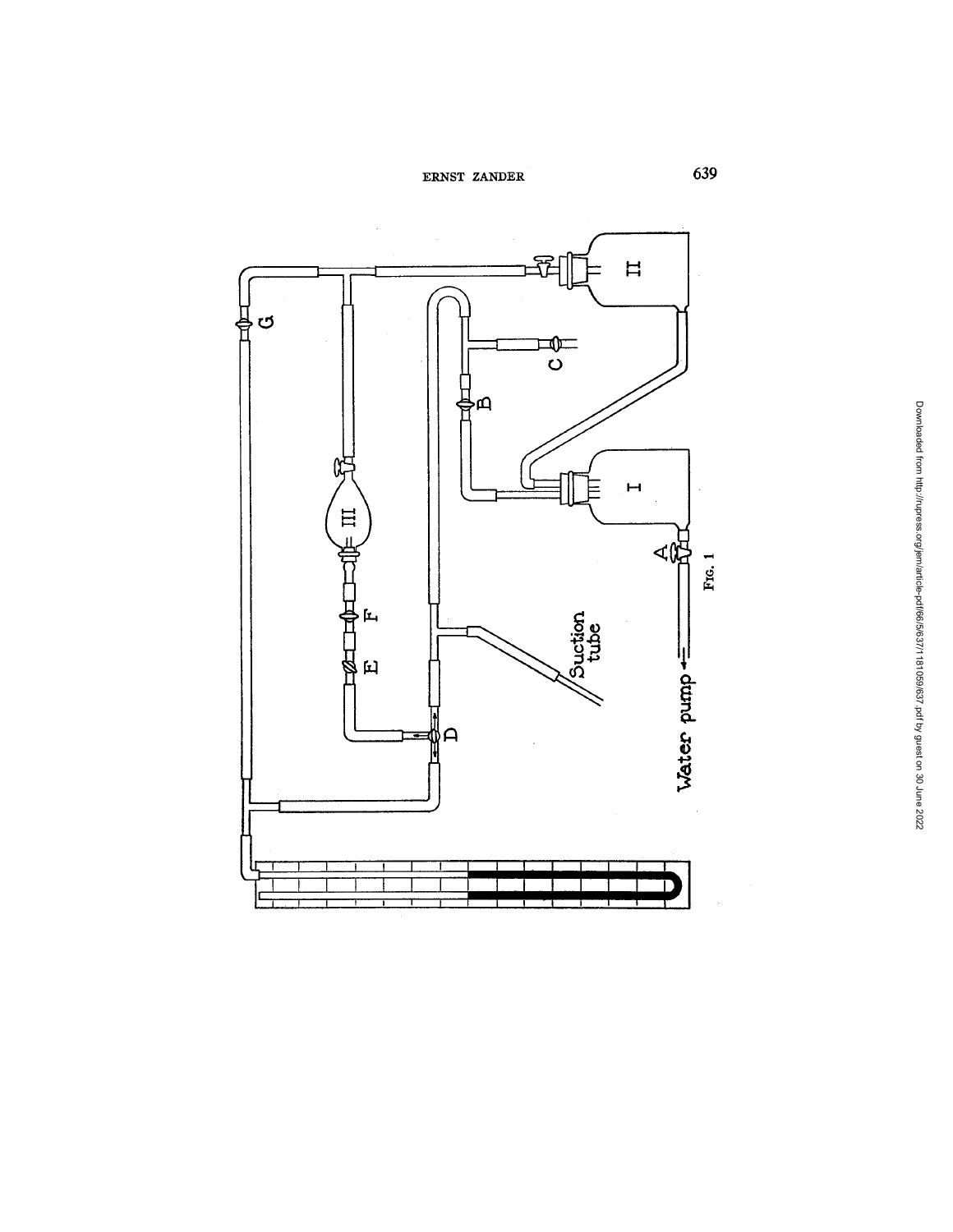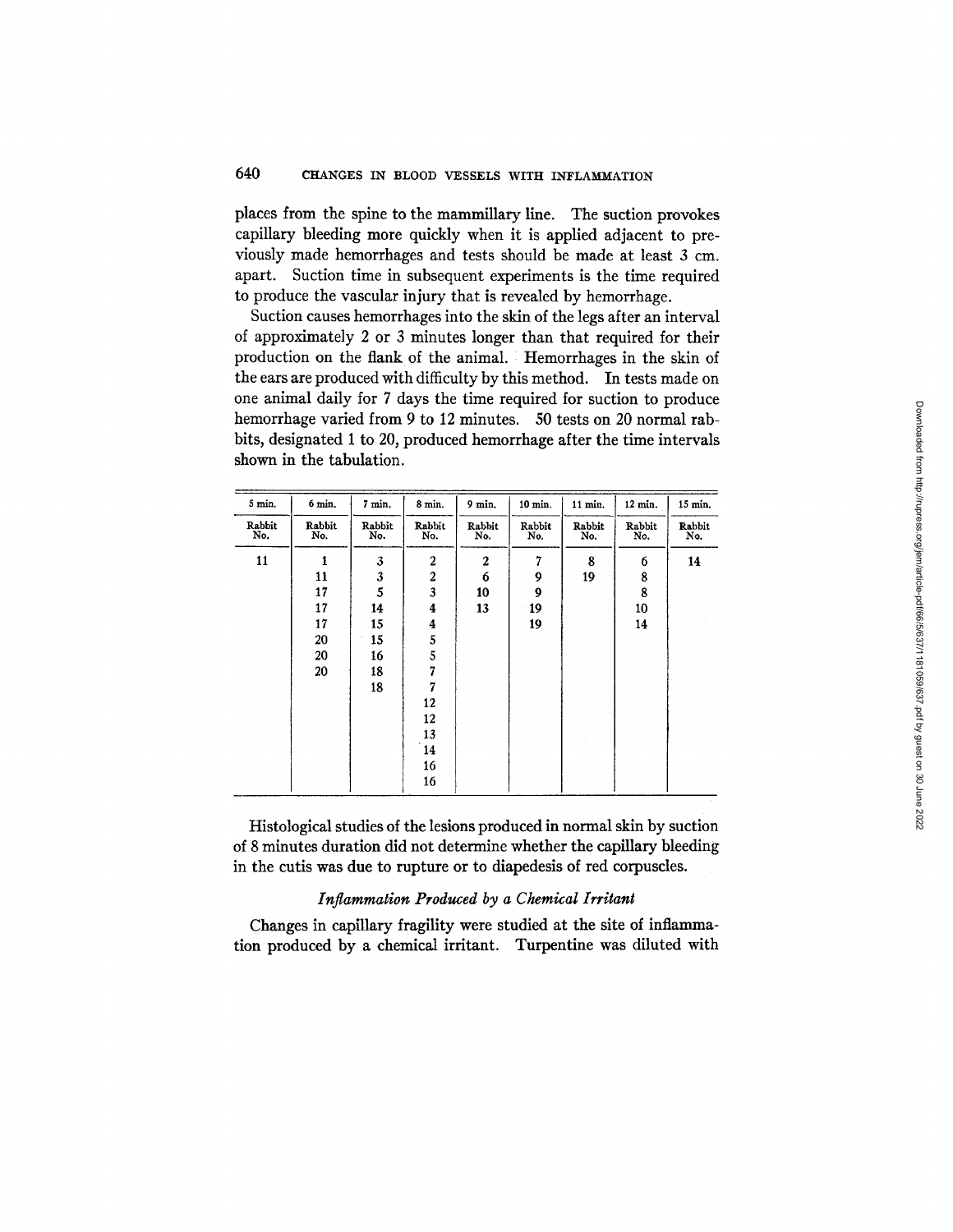places from the spine to the mammillary line. The suction provokes capillary bleeding more quickly when it is applied adjacent to previously made hemorrhages and tests should be made at least 3 cm. apart. Suction time in subsequent experiments is the time required to produce the vascular injury that is revealed by hemorrhage.

Suction causes hemorrhages into the skin of the legs after an interval of approximately 2 or 3 minutes longer than that required for their production on the flank of the animal. : Hemorrhages in the skin of the ears are produced with difficulty by this method. In tests made on one animal daily for 7 days the time required for suction to produce hemorrhage varied from 9 to 12 minutes. 50 tests on 20 normal rabbits, designated 1 to 20, produced hemorrhage after the time intervals shown in the tabulation.

| 5 min.        | 6 min.        | 7 min.        | 8 min.           | $9$ min.      | 10 min.       | 11 min.       | 12 min.       | 15 min.       |
|---------------|---------------|---------------|------------------|---------------|---------------|---------------|---------------|---------------|
| Rabbit<br>No. | Rabbit<br>No. | Rabbit<br>No. | Rabbit<br>No.    | Rabbit<br>No. | Rabbit<br>No. | Rabbit<br>No. | Rabbit<br>No. | Rabbit<br>No. |
| 11            | 1             | 3             | 2                | $\mathbf{2}$  | 7             | 8             | 6             | 14            |
|               | 11            | 3             | $\boldsymbol{2}$ | 6             | 9             | 19            | 8             |               |
|               | 17            | 5             | 3                | 10            | 9             |               | 8             |               |
|               | 17            | 14            | 4                | 13            | 19            |               | 10            |               |
|               | 17            | 15            | 4                |               | 19            |               | 14            |               |
|               | 20            | 15            | 5                |               |               |               |               |               |
|               | 20            | 16            | 5                |               |               |               |               |               |
|               | 20            | 18            | 7                |               |               |               |               |               |
|               |               | 18            | 7                |               |               |               |               |               |
|               |               |               | 12               |               |               |               |               |               |
|               |               |               | 12               |               |               |               |               |               |
|               |               |               | 13               |               |               |               |               |               |
|               |               |               | 14               |               |               |               |               |               |
|               |               |               | 16               |               |               |               |               |               |
|               |               |               | 16               |               |               |               |               |               |

Histological studies of the lesions produced in normal skin by suction of 8 minutes duration did not determine whether the capillary bleeding in the cutis was due to rupture or to diapedesis of red corpuscles.

#### *Inflammation Produced by a Chemical Irritant*

Changes in capillary fragility were studied at the site of inflammation produced by a chemical irritant. Turpentine was diluted with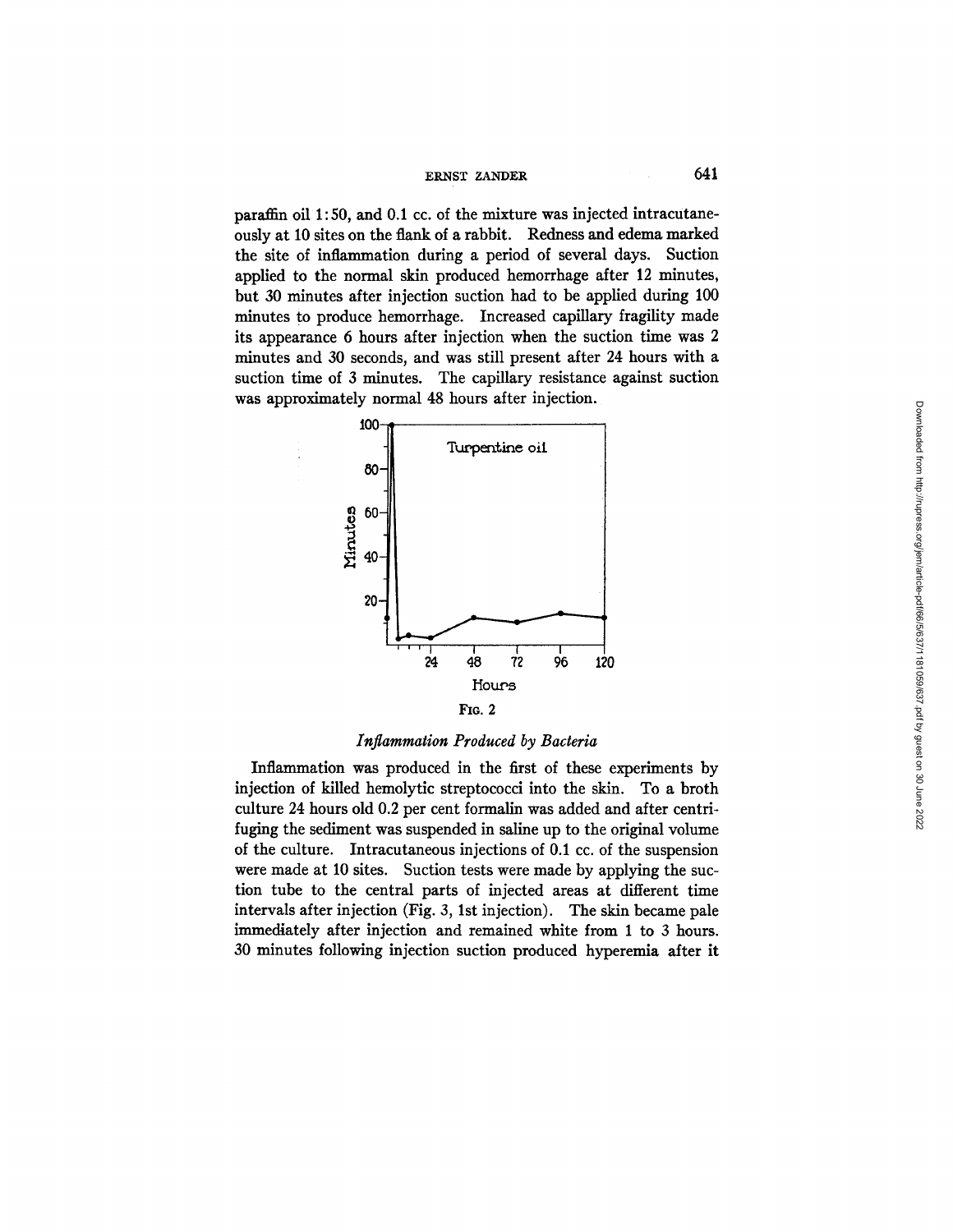paraffin oil 1:50, and 0.1 cc. of the mixture was injected intracutaneously at 10 sites on the flank of a rabbit. Redness and edema marked the site of inflammation during a period of several days. Suction applied to the normal skin produced hemorrhage after 12 minutes, but 30 minutes after injection suction had to be applied during 100 minutes to produce hemorrhage. Increased capillary fragility made its appearance 6 hours after injection when the suction time was 2 minutes and 30 seconds, and was still present after 24 hours with a suction time of 3 minutes. The capillary resistance against suction was approximately normal 48 hours after injection.



## *Inflammation Produced by Bacteria*

Inflammation was produced in the first of these experiments by injection of killed hemolytic streptococci into the skin. To a broth culture 24 hours old 0.2 per cent formalin was added and after centrifuging the sediment was suspended in saline up to the original volume of the culture. Intracutaneous injections of 0.1 cc. of the suspension were made at 10 sites. Suction tests were made by applying the suction tube to the central parts of injected areas at different time intervals after injection (Fig. 3, 1st injection). The skin became pale immediately after injection and remained white from 1 to 3 hours. 30 minutes following injection suction produced hyperemia after it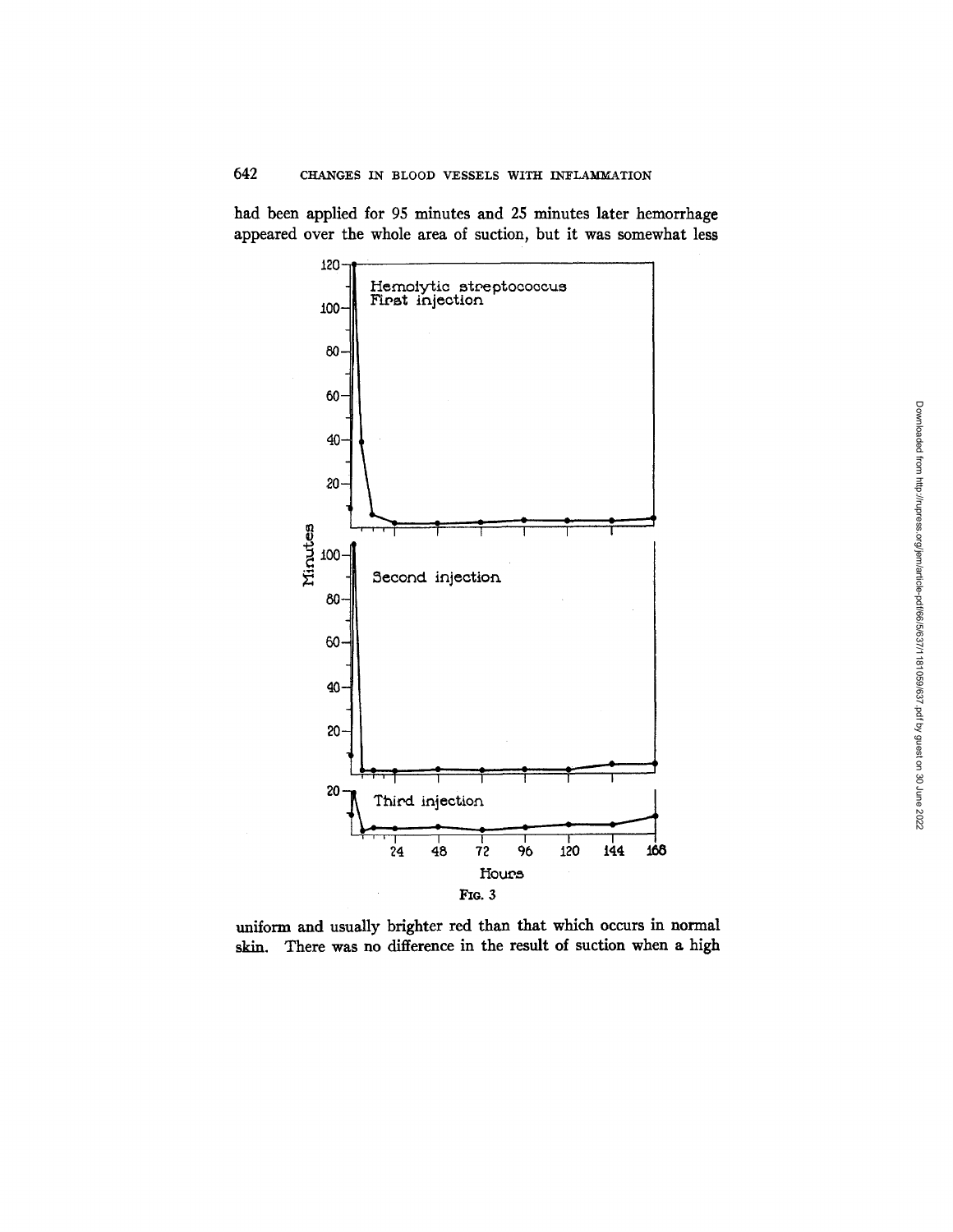had been applied for 95 minutes and 25 minutes later hemorrhage appeared over the whole area of suction, but it was somewhat less



uniform and usually brighter red than that which occurs in normal skin. There was no difference in the result of suction when a high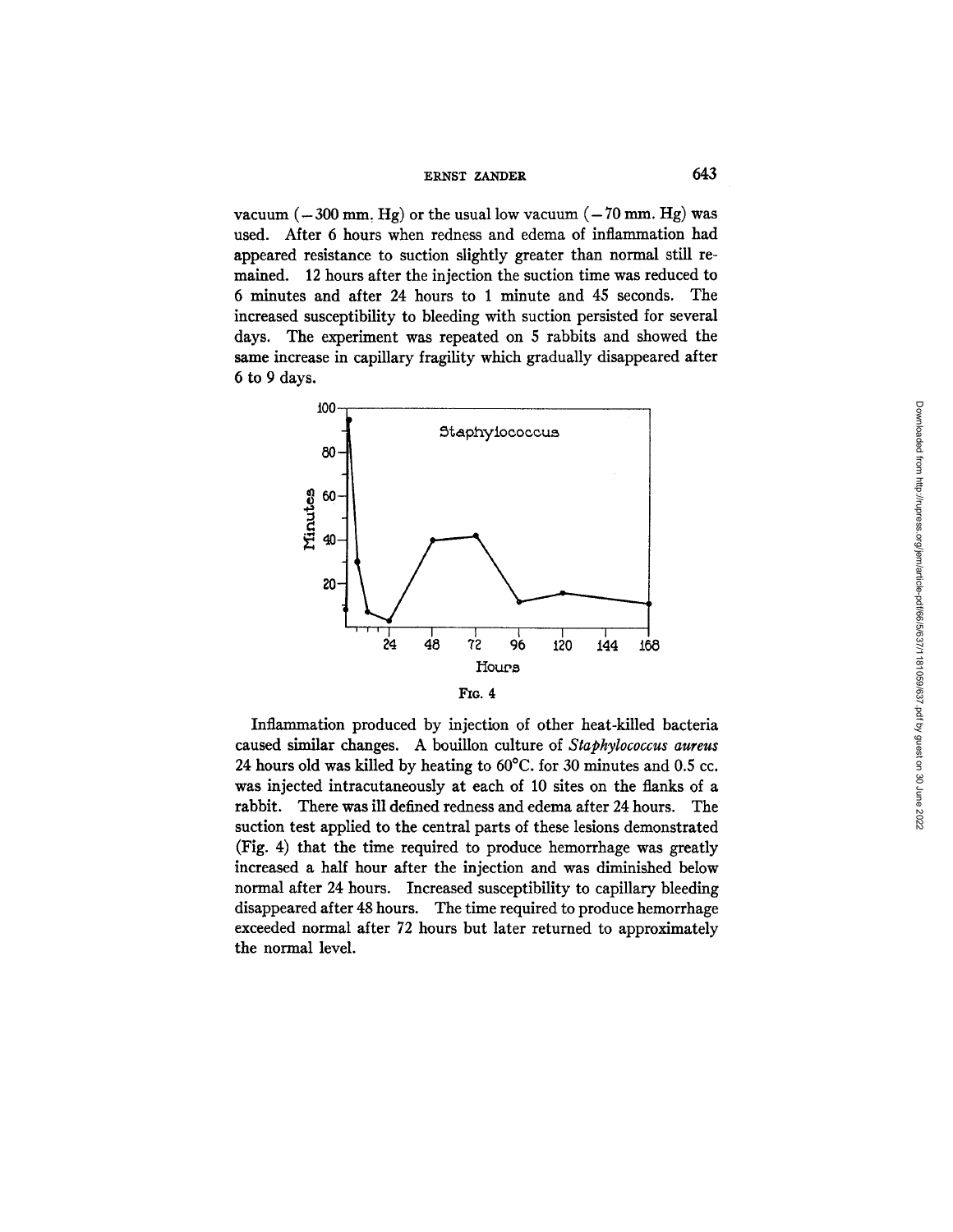vacuum  $(-300 \text{ mm}, \text{Hg})$  or the usual low vacuum  $(-70 \text{ mm}, \text{Hg})$  was used. After 6 hours when redness and edema of inflammation had appeared resistance to suction slightly greater than normal still remained. 12 hours after the injection the suction time was reduced to 6 minutes and after 24 hours to 1 minute and 45 seconds. The increased susceptibility to bleeding with suction persisted for several days. The experiment was repeated on 5 rabbits and showed the same increase in capillary fragility which gradually disappeared after 6 to 9 days.



Inflammation produced by injection of other heat-killed bacteria caused similar changes. A bouillon culture of *Staphylococcus aureus*  24 hours old was killed by heating to 60°C. for 30 minutes and 0.5 cc. was injected intracutaneously at each of 10 sites on the flanks of a rabbit. There was ill defined redness and edema after 24 hours. The suction test applied to the central parts of these lesions demonstrated (Fig. 4) that the time required to produce hemorrhage was greatly increased a half hour after the injection and was diminished below normal after 24 hours. Increased susceptibility to capillary bleeding disappeared after 48 hours. The time required to produce hemorrhage exceeded normal after 72 hours but later returned to approximately the normal level.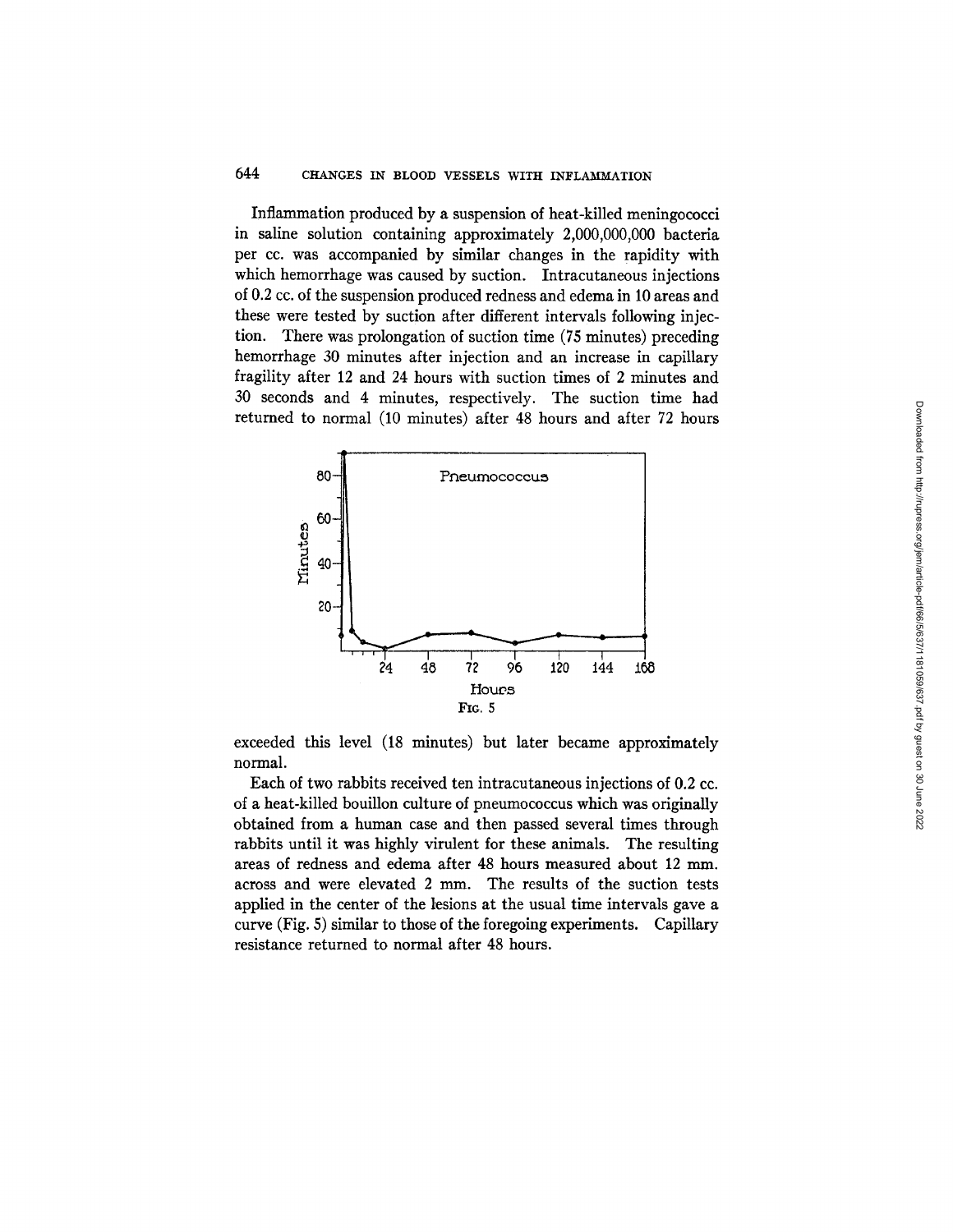Inflammation produced by a suspension of heat-killed meningococci in saline solution containing approximately 2,000,000,000 bacteria per cc. was accompanied by similar changes in the rapidity with which hemorrhage was caused by suction. Intracutaneous injections of 0.2 cc. of the suspension produced redness and edema in 10 areas and these were tested by suction after different intervals following injection. There was prolongation of suction time (75 minutes) preceding hemorrhage 30 minutes after injection and an increase in capillary fragility after 12 and 24 hours with suction times of 2 minutes and 30 seconds and 4 minutes, respectively. The suction time had returned to normal (10 minutes) after 48 hours and after 72 hours



exceeded this level (18 minutes) but later became approximately normal.

Each of two rabbits received ten intracutaneous injections of 0.2 cc. of a heat-killed bouillon culture of pneumococcus which was originally obtained from a human case and then passed several times through rabbits until it was highly virulent for these animals. The resulting areas of redness and edema after 48 hours measured about 12 mm. across and were elevated 2 mm. The results of the suction tests applied in the center of the tesions at the usual time intervals gave a curve (Fig. 5) similar to those of the foregoing experiments. Capillary resistance returned to normal after 48 hours.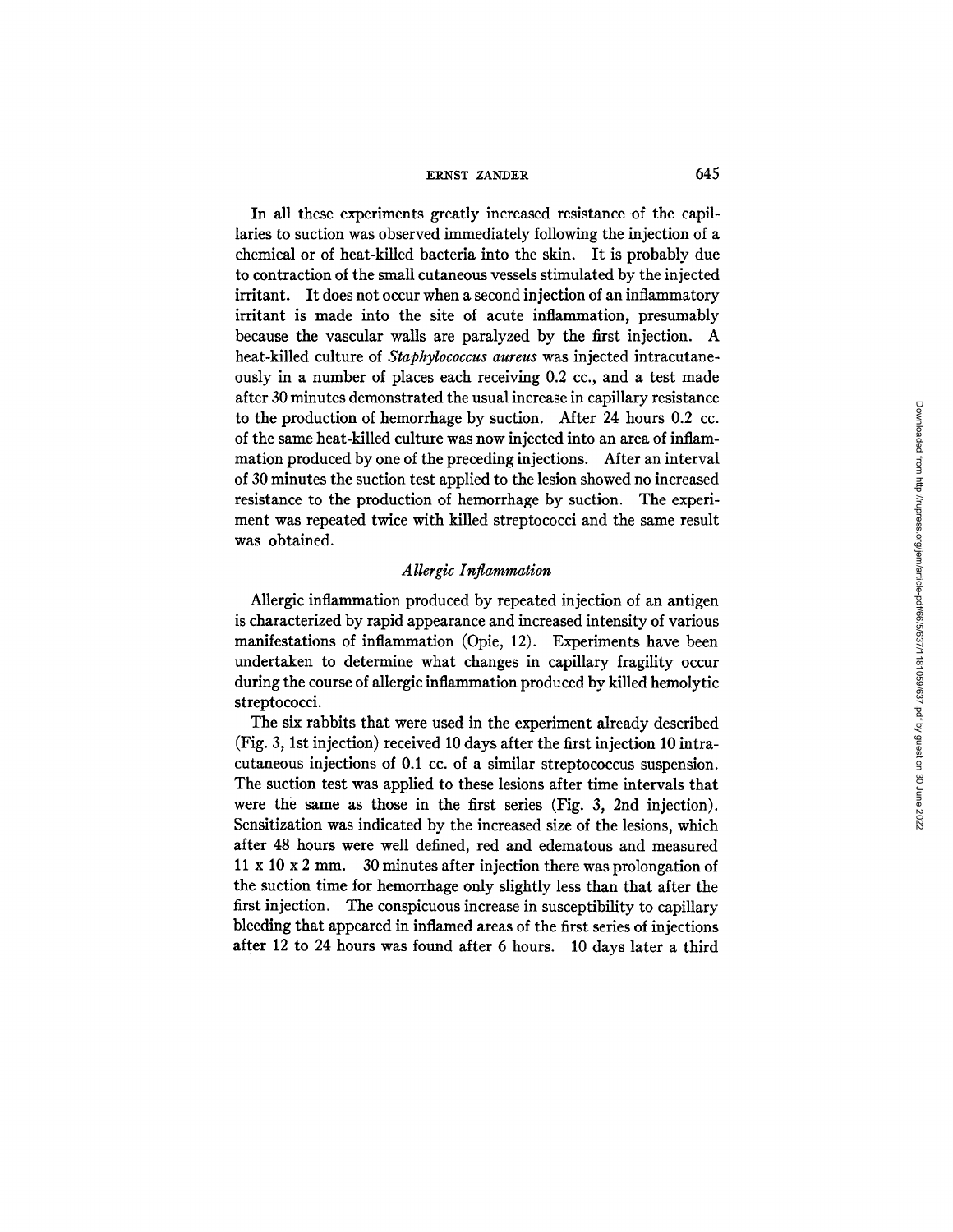In all these experiments greatly increased resistance of the capillaries to suction was observed immediately following the injection of a chemical or of heat-killed bacteria into the skin. It is probably due to contraction of the small cutaneous vessels stimulated by the injected irritant. It does not occur when a second injection of an inflammatory irritant is made into the site of acute inflammation, presumably because the vascular walls are paralyzed by the first injection. A heat-killed culture of *Staphylococcus aureus* was injected intracutaneously in a number of places each receiving 0.2 cc., and a test made after 30 minutes demonstrated the usual increase in capillary resistance to the production of hemorrhage by suction. After 24 hours 0.2 cc. of the same heat-killed culture was now injected into an area of inflammation produced by one of the preceding injections. After an interval of 30 minutes the suction test applied to the lesion showed no increased resistance to the production of hemorrhage by suction. The experiment was repeated twice with killed streptococci and the same result was obtained.

### *Allergic Inflammation*

Allergic inflammation produced by repeated injection of an antigen is characterized by rapid appearance and increased intensity of various manifestations of inflammation (Opie, 12). Experiments have been undertaken to determine what changes in capillary fragility occur during the course of allergic inflammation produced by killed hemolytic streptococci.

The six rabbits that were used in the experiment already described (Fig. 3, 1st injection) received 10 days after the first injection 10 intracutaneous injections of 0.1 cc. of a similar streptococcus suspension. The suction test was applied to these lesions after time intervals that were the same as those in the first series (Fig. 3, 2nd injection). Sensitization was indicated by the increased size of the lesions, which after 48 hours were well defined, red and edematous and measured 11 x 10 x 2 mm. 30 minutes after injection there was prolongation of the suction time for hemorrhage only slightly less than that after the first injection. The conspicuous increase in susceptibility to capillary bleeding that appeared in inflamed areas of the first series of injections after 12 to 24 hours was found after 6 hours. 10 days later a third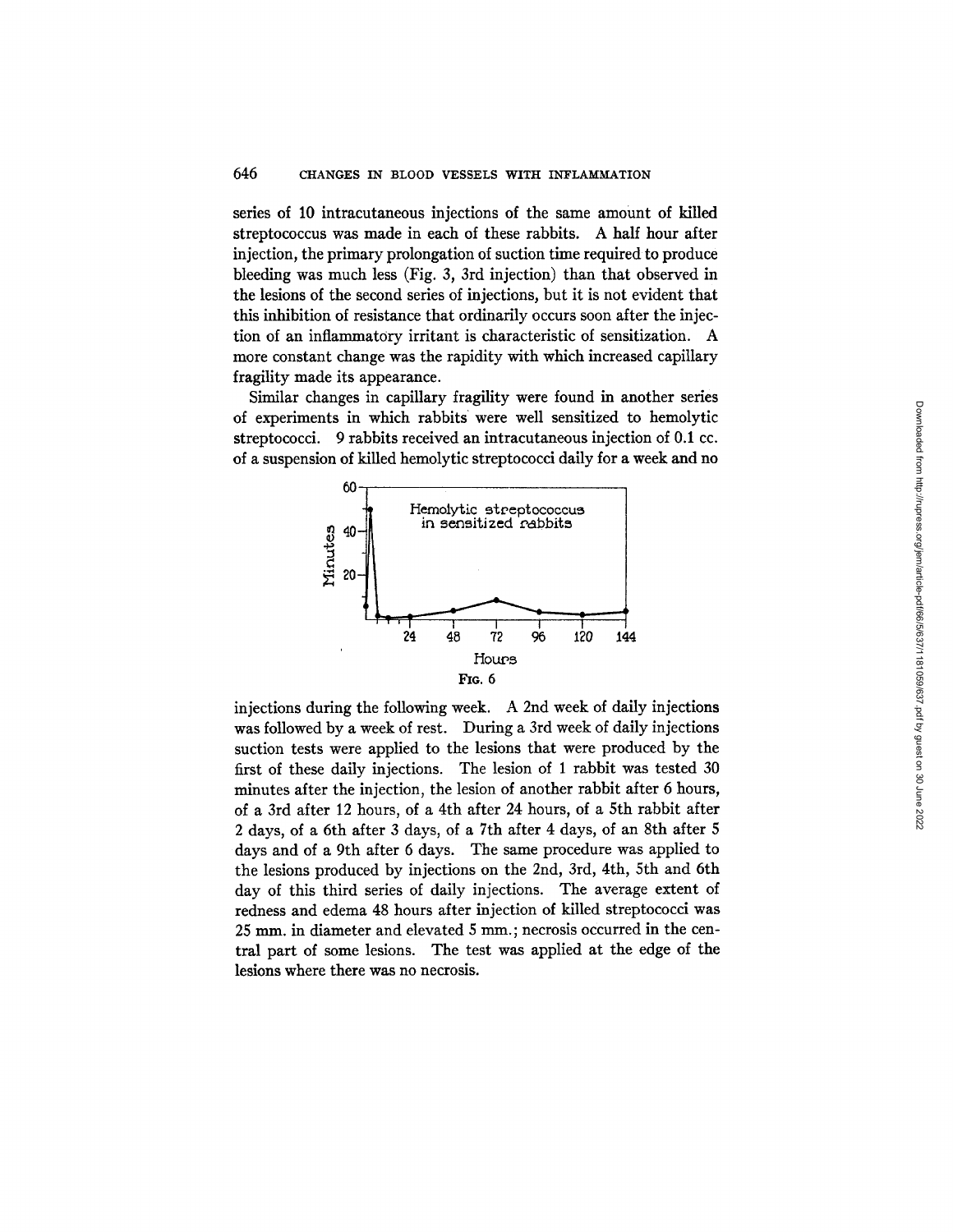series of 10 intracutaneous injections of the same amount of killed streptococcus was made in each of these rabbits. A half hour after injection, the primary prolongation of suction time required to produce bleeding was much less (Fig. 3, 3rd injection) than that observed in the lesions of the second series of injections, but it is not evident that this inhibition of resistance that ordinarily occurs soon after the injection of an inflammatory irritant is characteristic of sensitization. A more constant change was the rapidity with which increased capillary fragility made its appearance.

Similar changes in capillary fragility were found in another series of experiments in which rabbits were well sensitized to hemolytic streptococci. 9 rabbits received an intracutaneous injection of 0.1 cc. of a suspension of killed hemolytic streptococci daily for a week and no



injections during the following week. A 2nd week of daily injections was followed by a week of rest. During a 3rd week of daily injections suction tests were applied to the lesions that were produced by the first of these daily injections. The lesion of I rabbit was tested 30 minutes after the injection, the lesion of another rabbit after 6 hours, of a 3rd after 12 hours, of a 4th after 24 hours, of a 5th rabbit after 2 days, of a 6th after 3 days, of a 7th after 4 days, of an 8th after 5 days and of a 9th after 6 days. The same procedure was applied to the lesions produced by injections on the 2nd, 3rd, 4th, 5th and 6th day of this third series of daily injections. The average extent of redness and edema 48 hours after injection of killed streptococci was 25 mm. in diameter and elevated 5 mm.; necrosis occurred in the central part of some lesions. The test was applied at the edge of the lesions where there was no necrosis.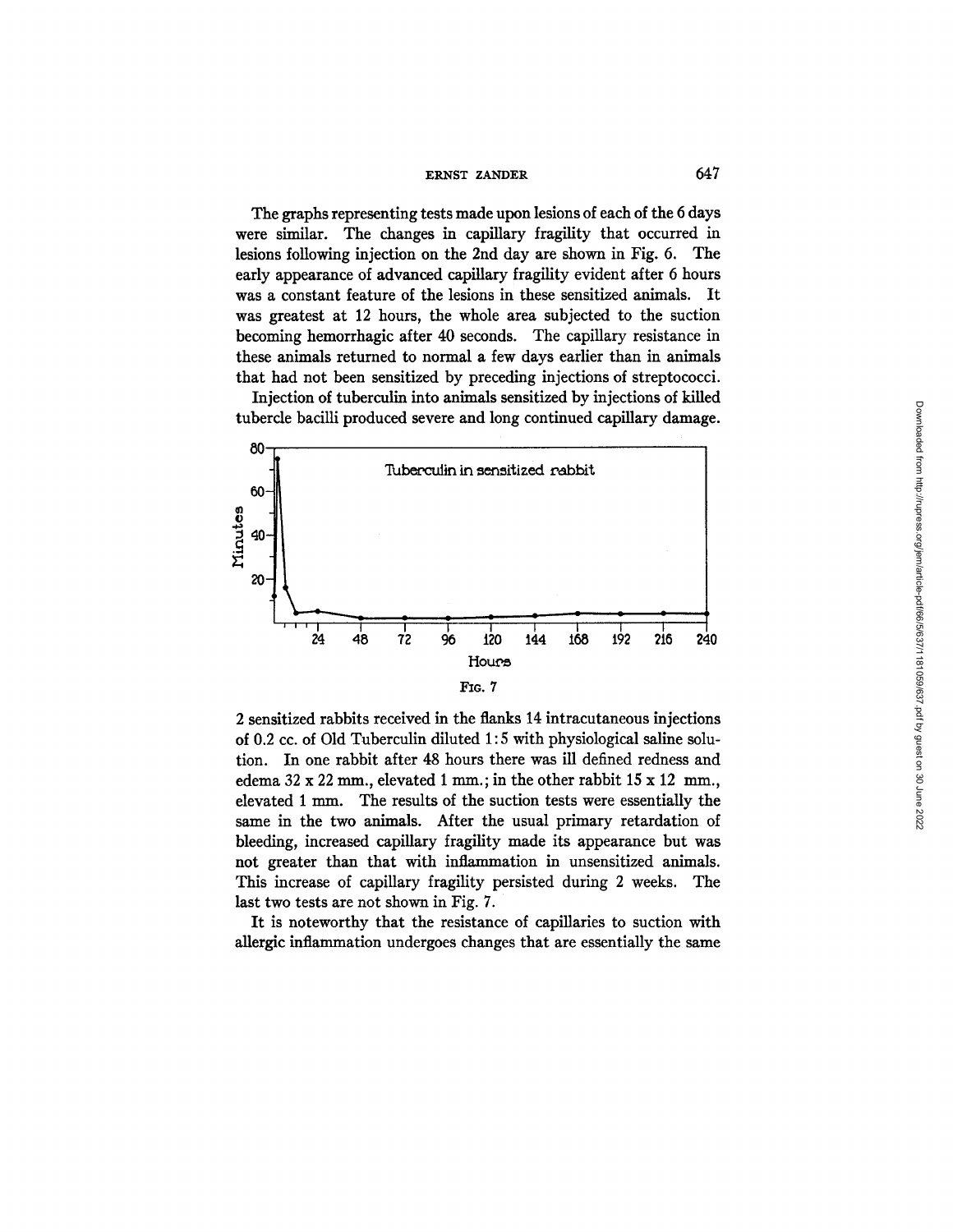The graphs representing tests made upon lesions of each of the 6 days were similar. The changes in capillary fragility that occurred in lesions following injection on the 2nd day are shown in Fig. 6. The early appearance of advanced capillary fragility evident after 6 hours was a constant feature of the lesions in these sensitized animals. It was greatest at 12 hours, the whole area subjected to the suction becoming hemorrhagic after 40 seconds. The capillary resistance in these animals returned to normal a few days earlier than in animals that had not been sensitized by preceding injections of streptococci.

Injection of tuberculin into animals sensitized by injections of killed tubercle bacilli produced severe and long continued capillary damage.



2 sensitized rabbits received in the flanks 14 intracutaneous injections of 0.2 cc. of Old Tuberculin diluted 1:5 with physiological saline solution. In one rabbit after 48 hours there was ill defined redness and edema  $32 \times 22$  mm., elevated 1 mm.; in the other rabbit  $15 \times 12$  mm. elevated 1 mm. The results of the suction tests were essentially the same in the two animals. After the usual primary retardation of bleeding, increased capillary fragility made its appearance but was not greater than that with inflammation in unsensitized animals. This increase of capillary fragility persisted during 2 weeks. The last two tests are not shown in Fig. 7.

It is noteworthy that the resistance of capillaries to suction with allergic inflammation undergoes changes that are essentially the same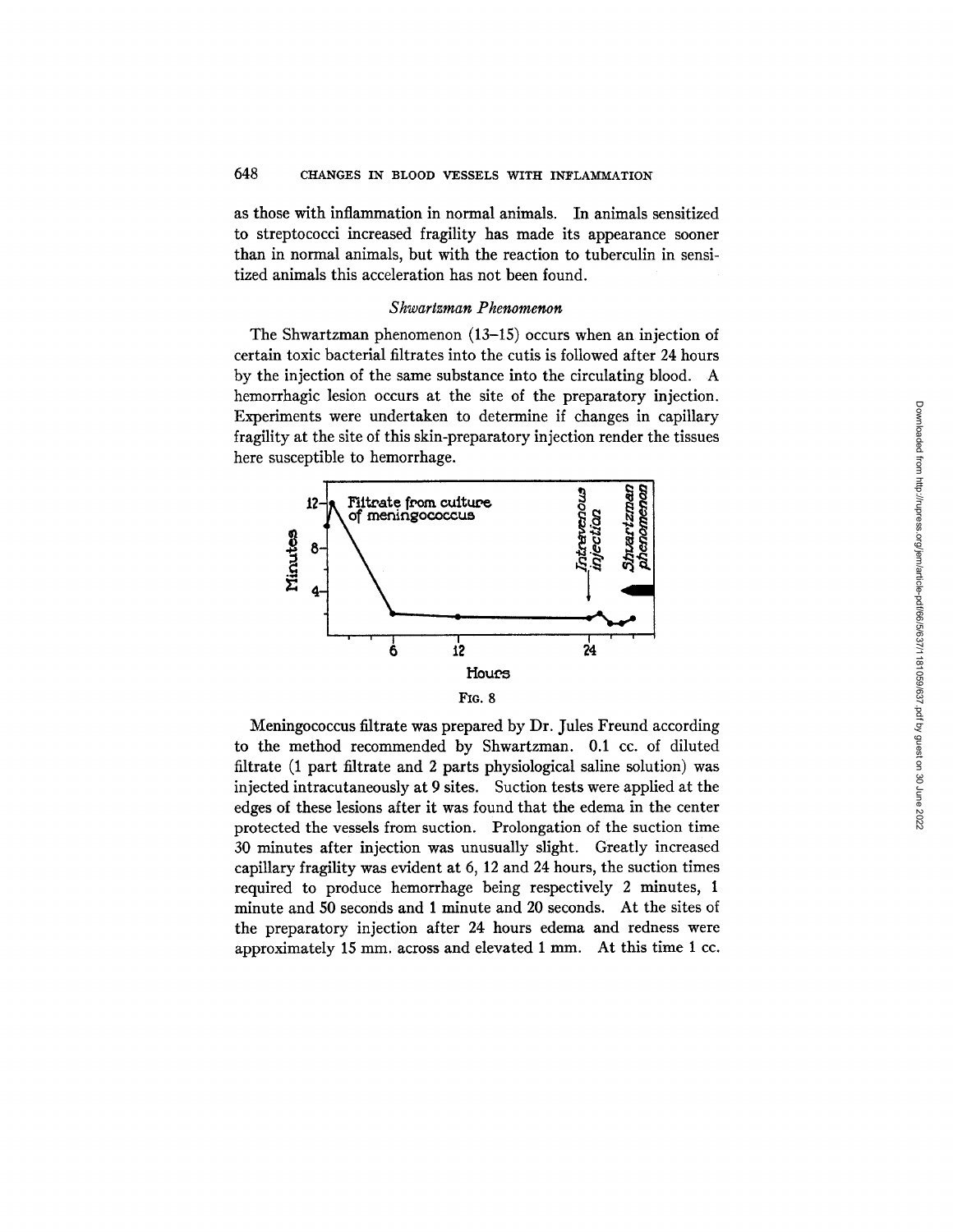as those with inflammation in normal animals. In animals sensitized to streptococci increased fragility has made its appearance sooner than in normal animals, but with the reaction to tuberculin in sensitized animals this acceleration has not been found.

### *S hwartzman Phenomenon*

The Shwartzman phenomenon (13-15) occurs when an injection of certain toxic bacterial filtrates into the cutis is followed after 24 hours by the injection of the same substance into the circulating blood. A hemorrhagic lesion occurs at the site of the preparatory injection. Experiments were undertaken to determine if changes in capillary fragility at the site of this skin-preparatory injection render the tissues here susceptible to hemorrhage.



Meningococcus filtrate was prepared by Dr. Jules Freund according to the method recommended by Shwartzman. 0.1 cc. of diluted filtrate (1 part filtrate and 2 parts physiological saline solution) was injected intracutaneously at 9 sites. Suction tests were applied at the edges of these lesions after it was found that the edema in the center protected the vessels from suction. Prolongation of the suction time 30 minutes after injection was unusually slight. Greatly increased capillary fragility was evident at 6, 12 and 24 hours, the suction times required to produce hemorrhage being respectively 2 minutes, 1 minute and 50 seconds and 1 minute and 20 seconds. At the sites of the preparatory injection after 24 hours edema and redness were approximately 15 mm. across and elevated 1 mm. At this time 1 cc.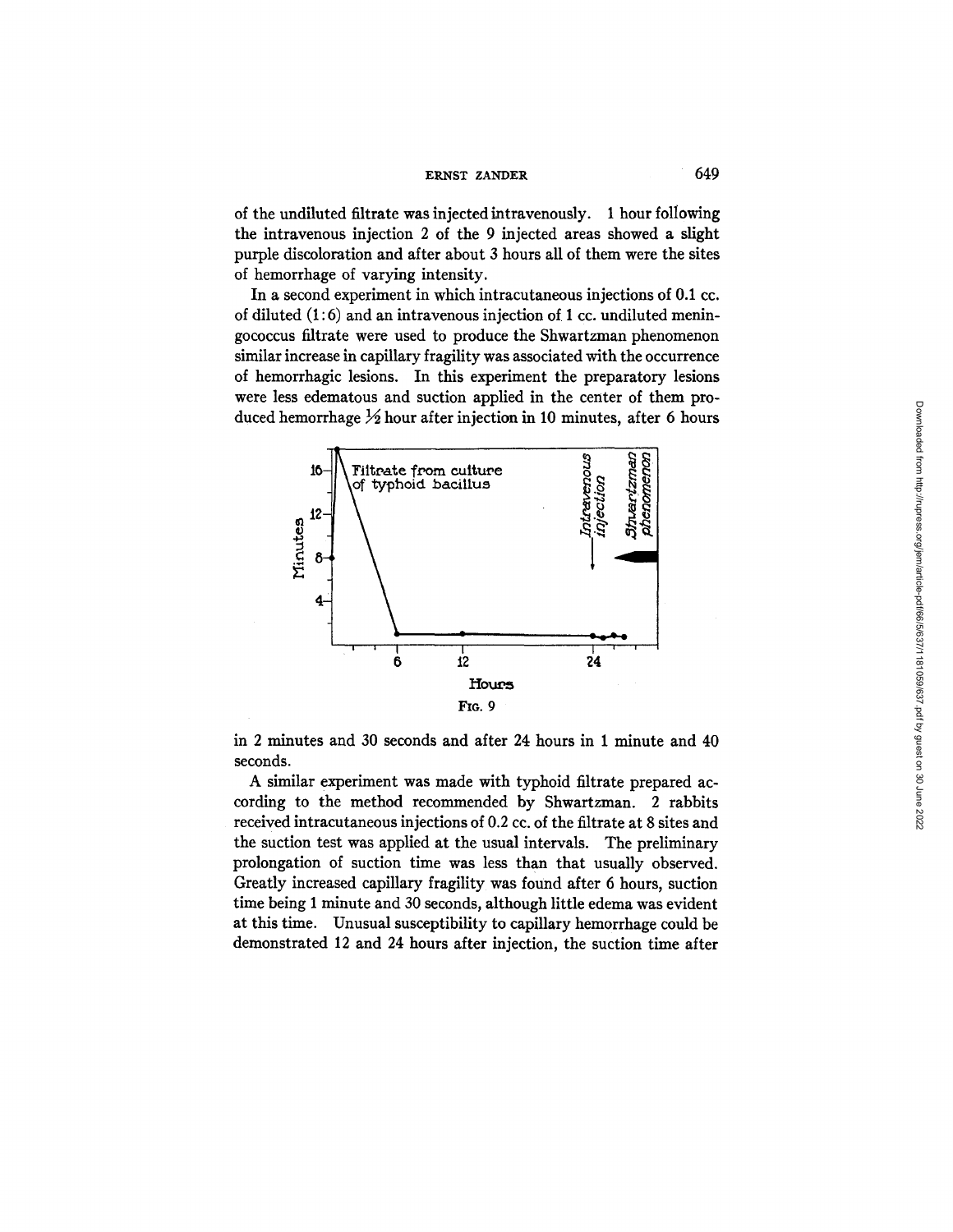of the undiluted filtrate was injected intravenously. 1 hour following the intravenous injection 2 of the 9 injected areas showed a slight purple discoloration and after about 3 hours all of them were the sites of hemorrhage of varying intensity.

In a second experiment in which intracutaneous injections of 0.1 cc. of diluted  $(1:6)$  and an intravenous injection of 1 cc. undiluted meningococcus filtrate were used to produce the Shwartzman phenomenon similar increase in capillary fragility was associated with the occurrence of hemorrhagic lesions. In this experiment the preparatory lesions were less edematous and suction applied in the center of them produced hemorrhage  $\frac{1}{2}$  hour after injection in 10 minutes, after 6 hours



in 2 minutes and 30 seconds and after 24 hours in 1 minute and 40 seconds.

A similar experiment was made with typhoid filtrate prepared according to the method recommended by Shwartzman. 2 rabbits received intracutaneous injections of 0.2 cc. of the filtrate at 8 sites and the suction test was applied at the usual intervals. The preliminary prolongation of suction time was less than that usually observed. Greatly increased capillary fragility was found after 6 hours, suction time being 1 minute and 30 seconds, although little edema was evident at this time. Unusual susceptibility to capillary hemorrhage could be demonstrated 12 and 24 hours after injection, the suction time after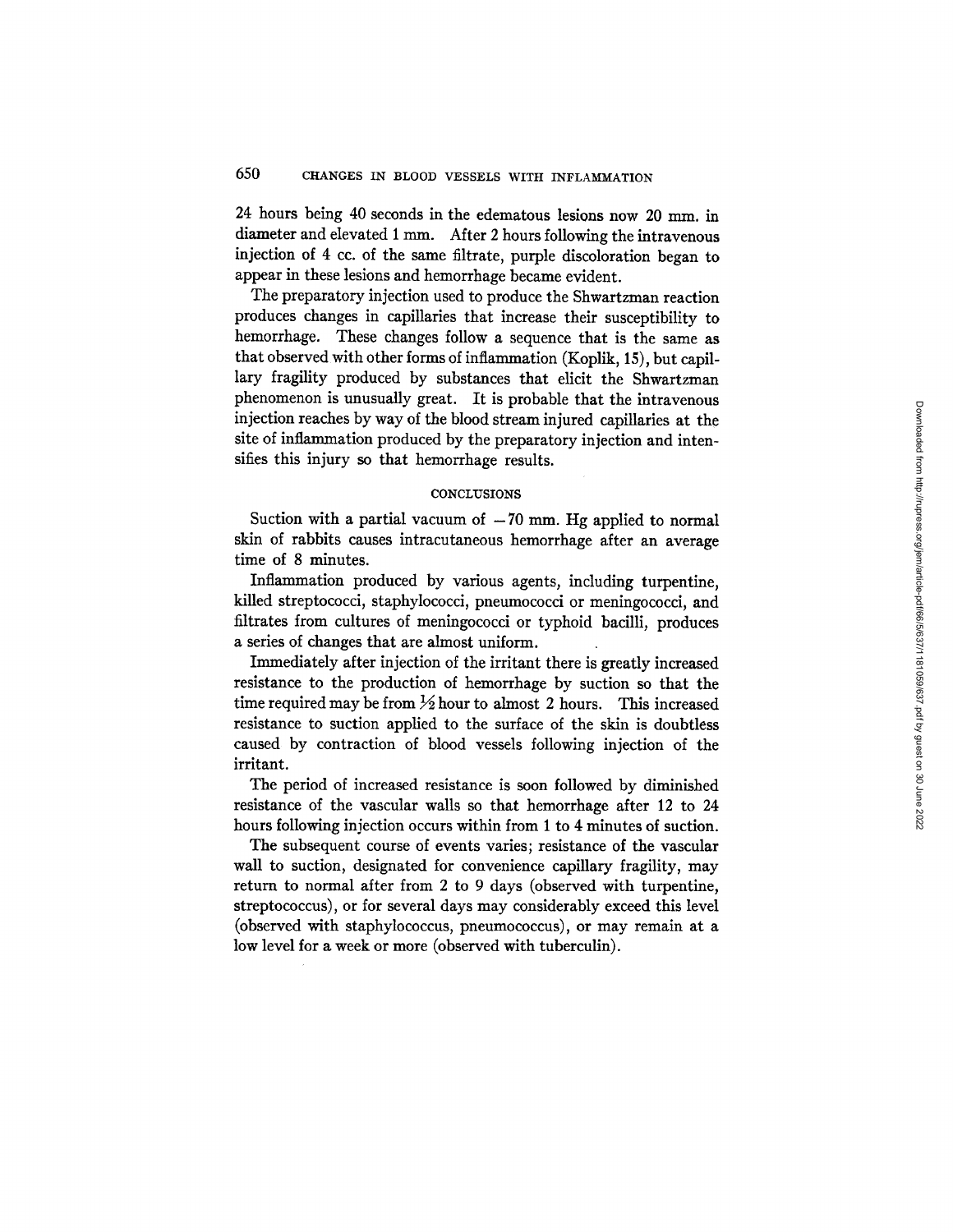24 hours being 40 seconds in the edematous lesions now 20 mm. in diameter and elevated 1 mm. After 2 hours following the intravenous injection of 4 cc. of the same filtrate, purple discoloration began to appear in these lesions and hemorrhage became evident.

The preparatory injection used to produce the Shwartzman reaction produces changes in capillaries that increase their susceptibility to hemorrhage. These changes follow a sequence that is the same as that observed with other forms of inflammation (Koplik, 15), but capillary fragility produced by substances that elicit the Shwartzman phenomenon is unusually great. It is probable that the intravenous injection reaches by way of the blood stream injured capillaries at the site of inflammation produced by the preparatory injection and intensifies this injury so that hemorrhage results.

#### **CONCLUSIONS**

Suction with a partial vacuum of  $-70$  mm. Hg applied to normal skin of rabbits causes intracutaneous hemorrhage after an average time of 8 minutes.

Inflammation produced by various agents, including turpentine, killed streptococci, staphylococci, pneumococci or meningococci, and filtrates from cultures of meningococci or typhoid bacilli, produces a series of changes that are almost uniform.

Immediately after injection of the irritant there is greatly increased resistance to the production of hemorrhage by suction so that the time required may be from  $\frac{1}{2}$  hour to almost 2 hours. This increased resistance to suction applied to the surface of the skin is doubtless caused by contraction of blood vessels following injection of the irritant.

The period of increased resistance is soon followed by diminished resistance of the vascular walls so that hemorrhage after 12 to 24 hours following injection occurs within from 1 to 4 minutes of suction.

The subsequent course of events varies; resistance of the vascular wall to suction, designated for convenience capillary fragility, may return to normal after from 2 to 9 days (observed with turpentine, streptococcus), or for several days may considerably exceed this level (observed with staphylococcus, pneumococcus), or may remain at a low level for a week or more (observed with tuberculin).